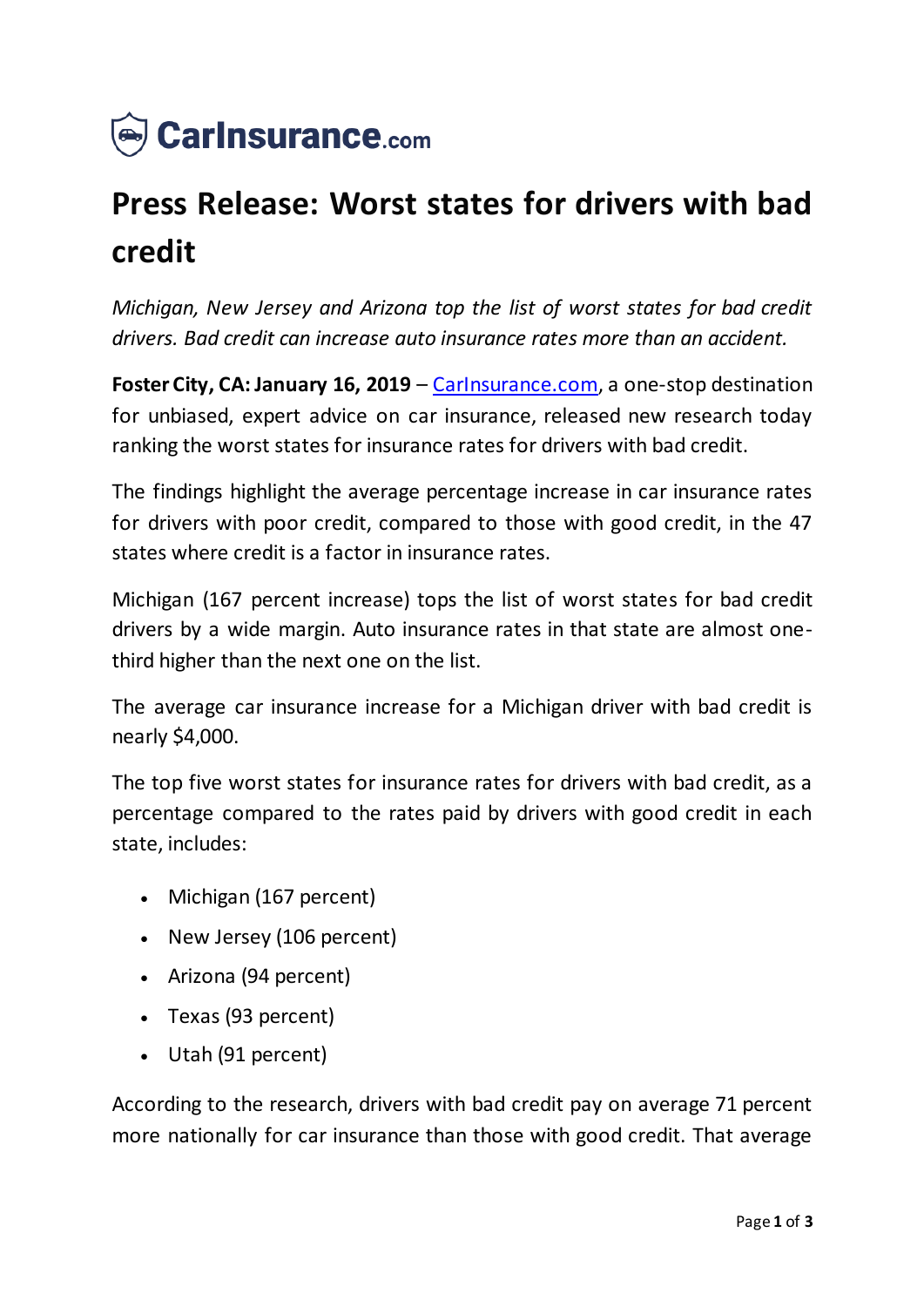

## **Press Release: Worst states for drivers with bad credit**

*Michigan, New Jersey and Arizona top the list of worst states for bad credit drivers. Bad credit can increase auto insurance rates more than an accident.*

**Foster City, CA: January 16, 2019** – *Carlnsurance.com*, a one-stop destination for unbiased, expert advice on car insurance, released new research today ranking the worst states for insurance rates for drivers with bad credit.

The findings highlight the average percentage increase in car insurance rates for drivers with poor credit, compared to those with good credit, in the 47 states where credit is a factor in insurance rates.

Michigan (167 percent increase) tops the list of worst states for bad credit drivers by a wide margin. Auto insurance rates in that state are almost onethird higher than the next one on the list.

The average car insurance increase for a Michigan driver with bad credit is nearly \$4,000.

The top five worst states for insurance rates for drivers with bad credit, as a percentage compared to the rates paid by drivers with good credit in each state, includes:

- Michigan (167 percent)
- New Jersey (106 percent)
- Arizona (94 percent)
- Texas (93 percent)
- Utah (91 percent)

According to the research, drivers with bad credit pay on average 71 percent more nationally for car insurance than those with good credit. That average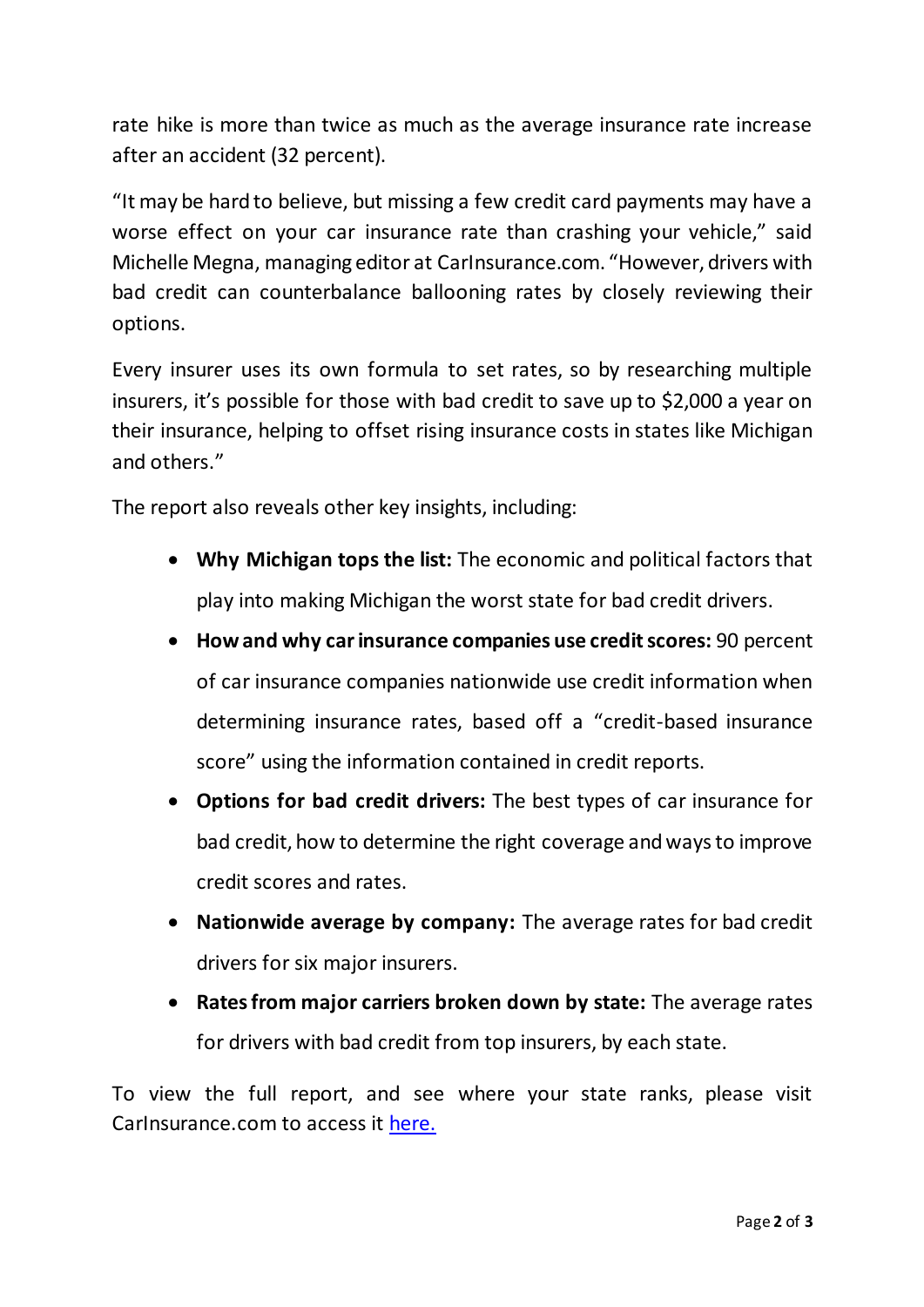rate hike is more than twice as much as the average insurance rate increase after an accident (32 percent).

"It may be hard to believe, but missing a few credit card payments may have a worse effect on your car insurance rate than crashing your vehicle," said Michelle Megna, managing editor at CarInsurance.com. "However, drivers with bad credit can counterbalance ballooning rates by closely reviewing their options.

Every insurer uses its own formula to set rates, so by researching multiple insurers, it's possible for those with bad credit to save up to \$2,000 a year on their insurance, helping to offset rising insurance costs in states like Michigan and others."

The report also reveals other key insights, including:

- **Why Michigan tops the list:** The economic and political factors that play into making Michigan the worst state for bad credit drivers.
- **How and why car insurance companies use credit scores:** 90 percent of car insurance companies nationwide use credit information when determining insurance rates, based off a "credit-based insurance score" using the information contained in credit reports.
- **Options for bad credit drivers:** The best types of car insurance for bad credit, how to determine the right coverage and ways to improve credit scores and rates.
- **Nationwide average by company:** The average rates for bad credit drivers for six major insurers.
- **Rates from major carriers broken down by state:** The average rates for drivers with bad credit from top insurers, by each state.

To view the full report, and see where your state ranks, please visit CarInsurance.com to access it [here](https://www.carinsurance.com/worst-states-for-drivers-with-bad-credit).